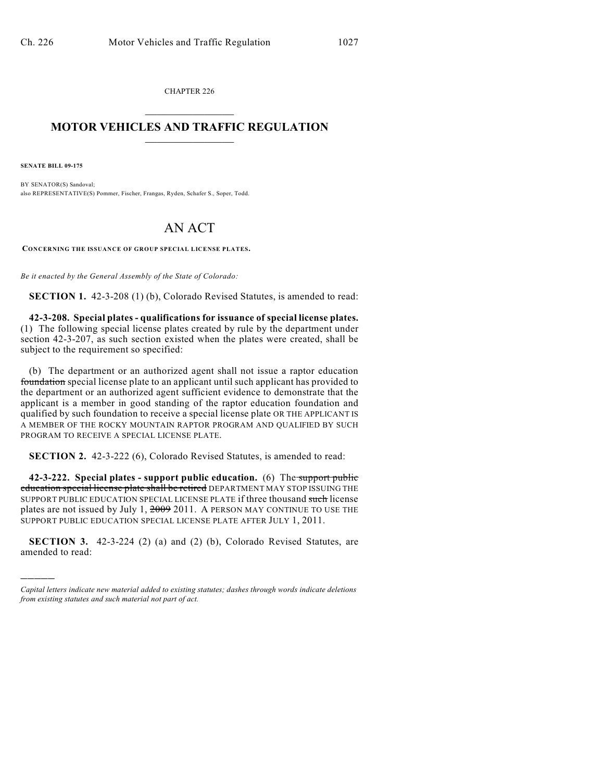CHAPTER 226  $\mathcal{L}_\text{max}$  . The set of the set of the set of the set of the set of the set of the set of the set of the set of the set of the set of the set of the set of the set of the set of the set of the set of the set of the set

## **MOTOR VEHICLES AND TRAFFIC REGULATION**  $\frac{1}{2}$  ,  $\frac{1}{2}$  ,  $\frac{1}{2}$  ,  $\frac{1}{2}$  ,  $\frac{1}{2}$  ,  $\frac{1}{2}$  ,  $\frac{1}{2}$  ,  $\frac{1}{2}$

**SENATE BILL 09-175**

)))))

BY SENATOR(S) Sandoval; also REPRESENTATIVE(S) Pommer, Fischer, Frangas, Ryden, Schafer S., Soper, Todd.

## AN ACT

**CONCERNING THE ISSUANCE OF GROUP SPECIAL LICENSE PLATES.**

*Be it enacted by the General Assembly of the State of Colorado:*

**SECTION 1.** 42-3-208 (1) (b), Colorado Revised Statutes, is amended to read:

**42-3-208. Special plates - qualifications for issuance of special license plates.** (1) The following special license plates created by rule by the department under section 42-3-207, as such section existed when the plates were created, shall be subject to the requirement so specified:

(b) The department or an authorized agent shall not issue a raptor education foundation special license plate to an applicant until such applicant has provided to the department or an authorized agent sufficient evidence to demonstrate that the applicant is a member in good standing of the raptor education foundation and qualified by such foundation to receive a special license plate OR THE APPLICANT IS A MEMBER OF THE ROCKY MOUNTAIN RAPTOR PROGRAM AND QUALIFIED BY SUCH PROGRAM TO RECEIVE A SPECIAL LICENSE PLATE.

**SECTION 2.** 42-3-222 (6), Colorado Revised Statutes, is amended to read:

**42-3-222. Special plates - support public education.** (6) The support public education special license plate shall be retired DEPARTMENT MAY STOP ISSUING THE SUPPORT PUBLIC EDUCATION SPECIAL LICENSE PLATE if three thousand such license plates are not issued by July 1,  $2009$  2011. A PERSON MAY CONTINUE TO USE THE SUPPORT PUBLIC EDUCATION SPECIAL LICENSE PLATE AFTER JULY 1, 2011.

**SECTION 3.** 42-3-224 (2) (a) and (2) (b), Colorado Revised Statutes, are amended to read:

*Capital letters indicate new material added to existing statutes; dashes through words indicate deletions from existing statutes and such material not part of act.*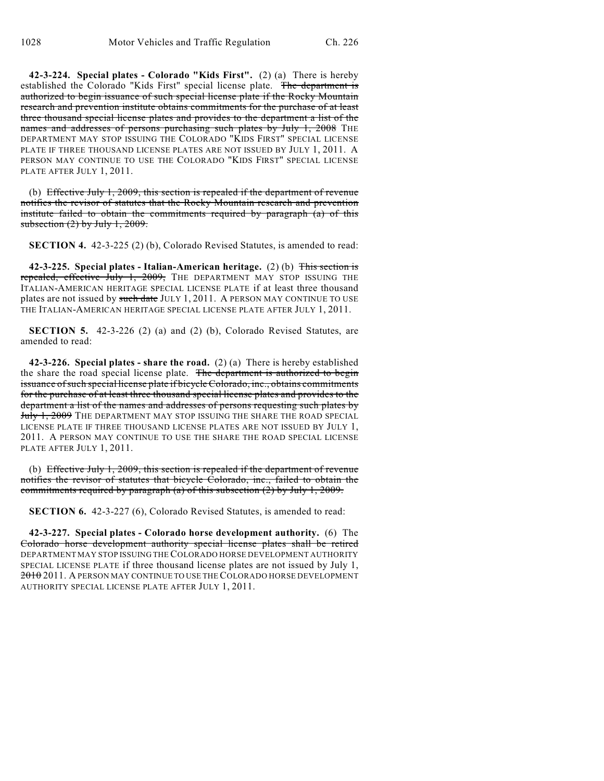**42-3-224. Special plates - Colorado "Kids First".** (2) (a) There is hereby established the Colorado "Kids First" special license plate. The department is authorized to begin issuance of such special license plate if the Rocky Mountain research and prevention institute obtains commitments for the purchase of at least three thousand special license plates and provides to the department a list of the names and addresses of persons purchasing such plates by July 1, 2008 THE DEPARTMENT MAY STOP ISSUING THE COLORADO "KIDS FIRST" SPECIAL LICENSE PLATE IF THREE THOUSAND LICENSE PLATES ARE NOT ISSUED BY JULY 1, 2011. A PERSON MAY CONTINUE TO USE THE COLORADO "KIDS FIRST" SPECIAL LICENSE PLATE AFTER JULY 1, 2011.

(b) Effective July 1, 2009, this section is repealed if the department of revenue notifies the revisor of statutes that the Rocky Mountain research and prevention institute failed to obtain the commitments required by paragraph (a) of this subsection  $(2)$  by July 1, 2009.

**SECTION 4.** 42-3-225 (2) (b), Colorado Revised Statutes, is amended to read:

**42-3-225. Special plates - Italian-American heritage.** (2) (b) This section is repealed, effective July 1, 2009, THE DEPARTMENT MAY STOP ISSUING THE ITALIAN-AMERICAN HERITAGE SPECIAL LICENSE PLATE if at least three thousand plates are not issued by such date JULY 1, 2011. A PERSON MAY CONTINUE TO USE THE ITALIAN-AMERICAN HERITAGE SPECIAL LICENSE PLATE AFTER JULY 1, 2011.

**SECTION 5.** 42-3-226 (2) (a) and (2) (b), Colorado Revised Statutes, are amended to read:

**42-3-226. Special plates - share the road.** (2) (a) There is hereby established the share the road special license plate. The department is authorized to begin issuance of such special license plate if bicycle Colorado, inc., obtains commitments for the purchase of at least three thousand special license plates and provides to the department a list of the names and addresses of persons requesting such plates by July 1, 2009 THE DEPARTMENT MAY STOP ISSUING THE SHARE THE ROAD SPECIAL LICENSE PLATE IF THREE THOUSAND LICENSE PLATES ARE NOT ISSUED BY JULY 1, 2011. A PERSON MAY CONTINUE TO USE THE SHARE THE ROAD SPECIAL LICENSE PLATE AFTER JULY 1, 2011.

(b) Effective July 1, 2009, this section is repealed if the department of revenue notifies the revisor of statutes that bicycle Colorado, inc., failed to obtain the commitments required by paragraph (a) of this subsection (2) by July 1, 2009.

**SECTION 6.** 42-3-227 (6), Colorado Revised Statutes, is amended to read:

**42-3-227. Special plates - Colorado horse development authority.** (6) The Colorado horse development authority special license plates shall be retired DEPARTMENT MAY STOP ISSUING THE COLORADO HORSE DEVELOPMENT AUTHORITY SPECIAL LICENSE PLATE if three thousand license plates are not issued by July 1, 2010 2011. A PERSON MAY CONTINUE TO USE THE COLORADO HORSE DEVELOPMENT AUTHORITY SPECIAL LICENSE PLATE AFTER JULY 1, 2011.